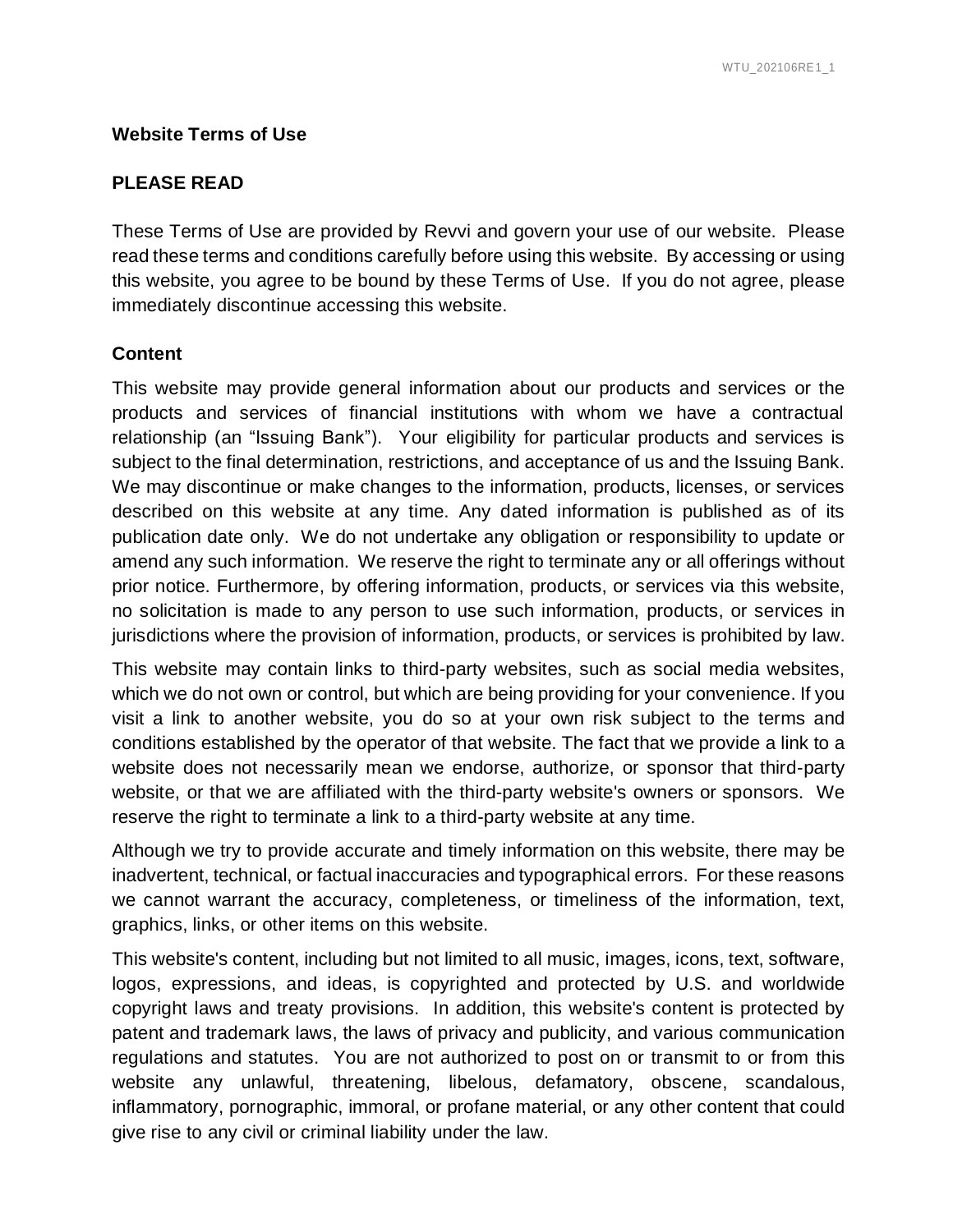#### **Website Terms of Use**

#### **PLEASE READ**

These Terms of Use are provided by Revvi and govern your use of our website. Please read these terms and conditions carefully before using this website. By accessing or using this website, you agree to be bound by these Terms of Use. If you do not agree, please immediately discontinue accessing this website.

#### **Content**

This website may provide general information about our products and services or the products and services of financial institutions with whom we have a contractual relationship (an "Issuing Bank"). Your eligibility for particular products and services is subject to the final determination, restrictions, and acceptance of us and the Issuing Bank. We may discontinue or make changes to the information, products, licenses, or services described on this website at any time. Any dated information is published as of its publication date only. We do not undertake any obligation or responsibility to update or amend any such information. We reserve the right to terminate any or all offerings without prior notice. Furthermore, by offering information, products, or services via this website, no solicitation is made to any person to use such information, products, or services in jurisdictions where the provision of information, products, or services is prohibited by law.

This website may contain links to third-party websites, such as social media websites, which we do not own or control, but which are being providing for your convenience. If you visit a link to another website, you do so at your own risk subject to the terms and conditions established by the operator of that website. The fact that we provide a link to a website does not necessarily mean we endorse, authorize, or sponsor that third-party website, or that we are affiliated with the third-party website's owners or sponsors. We reserve the right to terminate a link to a third-party website at any time.

Although we try to provide accurate and timely information on this website, there may be inadvertent, technical, or factual inaccuracies and typographical errors. For these reasons we cannot warrant the accuracy, completeness, or timeliness of the information, text, graphics, links, or other items on this website.

This website's content, including but not limited to all music, images, icons, text, software, logos, expressions, and ideas, is copyrighted and protected by U.S. and worldwide copyright laws and treaty provisions. In addition, this website's content is protected by patent and trademark laws, the laws of privacy and publicity, and various communication regulations and statutes. You are not authorized to post on or transmit to or from this website any unlawful, threatening, libelous, defamatory, obscene, scandalous, inflammatory, pornographic, immoral, or profane material, or any other content that could give rise to any civil or criminal liability under the law.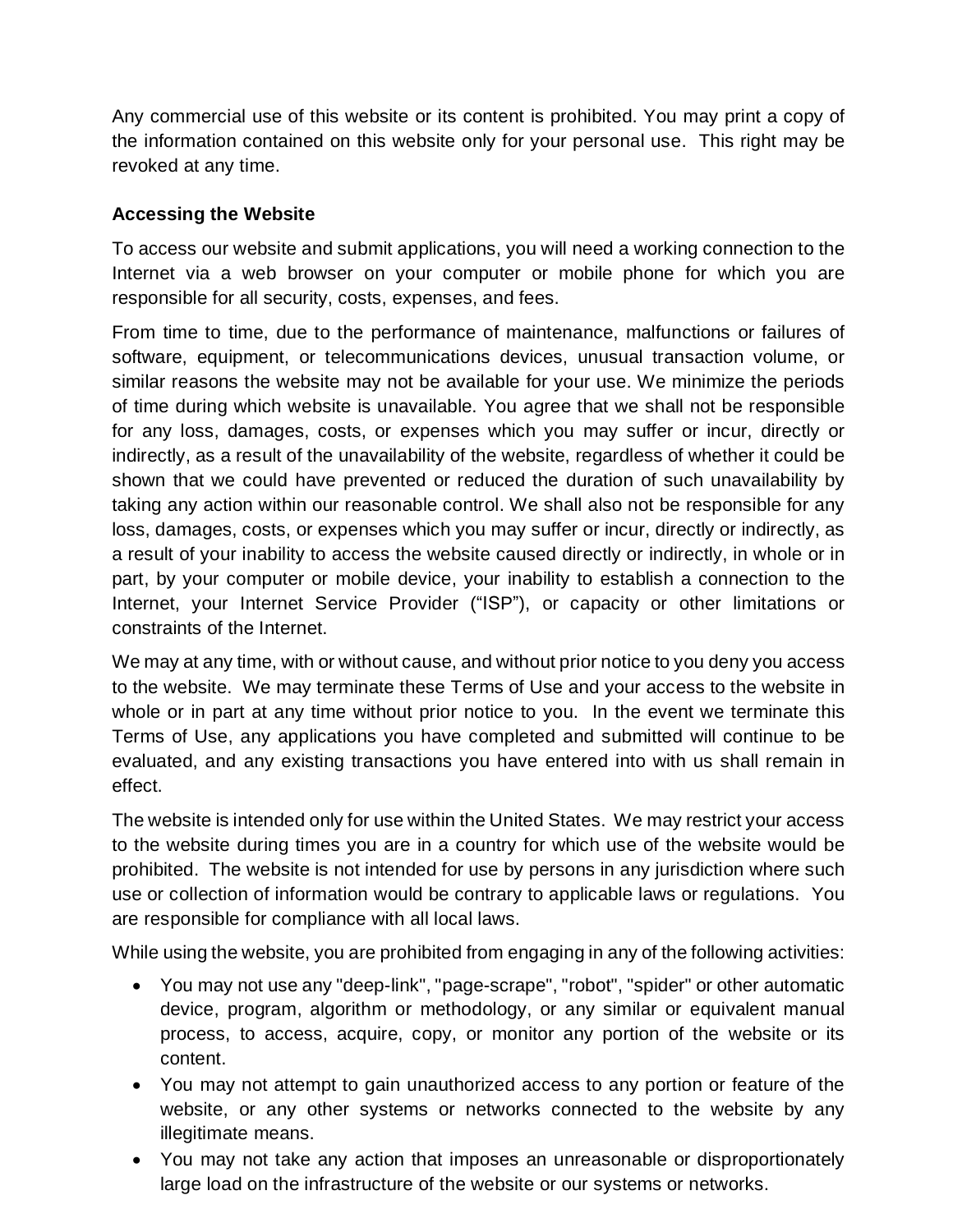Any commercial use of this website or its content is prohibited. You may print a copy of the information contained on this website only for your personal use. This right may be revoked at any time.

### **Accessing the Website**

To access our website and submit applications, you will need a working connection to the Internet via a web browser on your computer or mobile phone for which you are responsible for all security, costs, expenses, and fees.

From time to time, due to the performance of maintenance, malfunctions or failures of software, equipment, or telecommunications devices, unusual transaction volume, or similar reasons the website may not be available for your use. We minimize the periods of time during which website is unavailable. You agree that we shall not be responsible for any loss, damages, costs, or expenses which you may suffer or incur, directly or indirectly, as a result of the unavailability of the website, regardless of whether it could be shown that we could have prevented or reduced the duration of such unavailability by taking any action within our reasonable control. We shall also not be responsible for any loss, damages, costs, or expenses which you may suffer or incur, directly or indirectly, as a result of your inability to access the website caused directly or indirectly, in whole or in part, by your computer or mobile device, your inability to establish a connection to the Internet, your Internet Service Provider ("ISP"), or capacity or other limitations or constraints of the Internet.

We may at any time, with or without cause, and without prior notice to you deny you access to the website. We may terminate these Terms of Use and your access to the website in whole or in part at any time without prior notice to you. In the event we terminate this Terms of Use, any applications you have completed and submitted will continue to be evaluated, and any existing transactions you have entered into with us shall remain in effect.

The website is intended only for use within the United States. We may restrict your access to the website during times you are in a country for which use of the website would be prohibited. The website is not intended for use by persons in any jurisdiction where such use or collection of information would be contrary to applicable laws or regulations. You are responsible for compliance with all local laws.

While using the website, you are prohibited from engaging in any of the following activities:

- You may not use any "deep-link", "page-scrape", "robot", "spider" or other automatic device, program, algorithm or methodology, or any similar or equivalent manual process, to access, acquire, copy, or monitor any portion of the website or its content.
- You may not attempt to gain unauthorized access to any portion or feature of the website, or any other systems or networks connected to the website by any illegitimate means.
- You may not take any action that imposes an unreasonable or disproportionately large load on the infrastructure of the website or our systems or networks.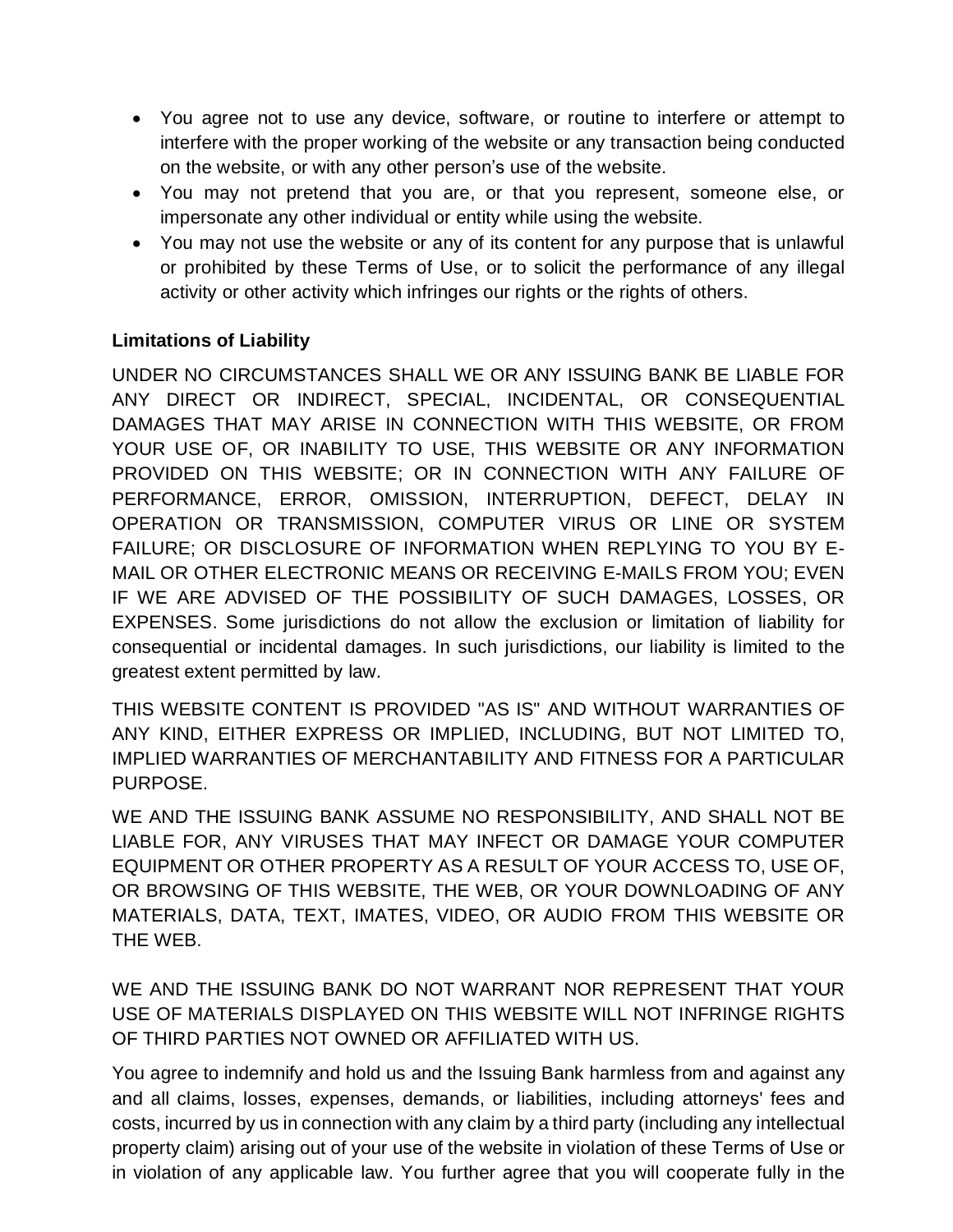- You agree not to use any device, software, or routine to interfere or attempt to interfere with the proper working of the website or any transaction being conducted on the website, or with any other person's use of the website.
- You may not pretend that you are, or that you represent, someone else, or impersonate any other individual or entity while using the website.
- You may not use the website or any of its content for any purpose that is unlawful or prohibited by these Terms of Use, or to solicit the performance of any illegal activity or other activity which infringes our rights or the rights of others.

### **Limitations of Liability**

UNDER NO CIRCUMSTANCES SHALL WE OR ANY ISSUING BANK BE LIABLE FOR ANY DIRECT OR INDIRECT, SPECIAL, INCIDENTAL, OR CONSEQUENTIAL DAMAGES THAT MAY ARISE IN CONNECTION WITH THIS WEBSITE, OR FROM YOUR USE OF, OR INABILITY TO USE, THIS WEBSITE OR ANY INFORMATION PROVIDED ON THIS WEBSITE; OR IN CONNECTION WITH ANY FAILURE OF PERFORMANCE, ERROR, OMISSION, INTERRUPTION, DEFECT, DELAY IN OPERATION OR TRANSMISSION, COMPUTER VIRUS OR LINE OR SYSTEM FAILURE; OR DISCLOSURE OF INFORMATION WHEN REPLYING TO YOU BY E-MAIL OR OTHER ELECTRONIC MEANS OR RECEIVING E-MAILS FROM YOU; EVEN IF WE ARE ADVISED OF THE POSSIBILITY OF SUCH DAMAGES, LOSSES, OR EXPENSES. Some jurisdictions do not allow the exclusion or limitation of liability for consequential or incidental damages. In such jurisdictions, our liability is limited to the greatest extent permitted by law.

THIS WEBSITE CONTENT IS PROVIDED "AS IS" AND WITHOUT WARRANTIES OF ANY KIND, EITHER EXPRESS OR IMPLIED, INCLUDING, BUT NOT LIMITED TO, IMPLIED WARRANTIES OF MERCHANTABILITY AND FITNESS FOR A PARTICULAR PURPOSE.

WE AND THE ISSUING BANK ASSUME NO RESPONSIBILITY, AND SHALL NOT BE LIABLE FOR, ANY VIRUSES THAT MAY INFECT OR DAMAGE YOUR COMPUTER EQUIPMENT OR OTHER PROPERTY AS A RESULT OF YOUR ACCESS TO, USE OF, OR BROWSING OF THIS WEBSITE, THE WEB, OR YOUR DOWNLOADING OF ANY MATERIALS, DATA, TEXT, IMATES, VIDEO, OR AUDIO FROM THIS WEBSITE OR THE WEB.

WE AND THE ISSUING BANK DO NOT WARRANT NOR REPRESENT THAT YOUR USE OF MATERIALS DISPLAYED ON THIS WEBSITE WILL NOT INFRINGE RIGHTS OF THIRD PARTIES NOT OWNED OR AFFILIATED WITH US.

You agree to indemnify and hold us and the Issuing Bank harmless from and against any and all claims, losses, expenses, demands, or liabilities, including attorneys' fees and costs, incurred by us in connection with any claim by a third party (including any intellectual property claim) arising out of your use of the website in violation of these Terms of Use or in violation of any applicable law. You further agree that you will cooperate fully in the